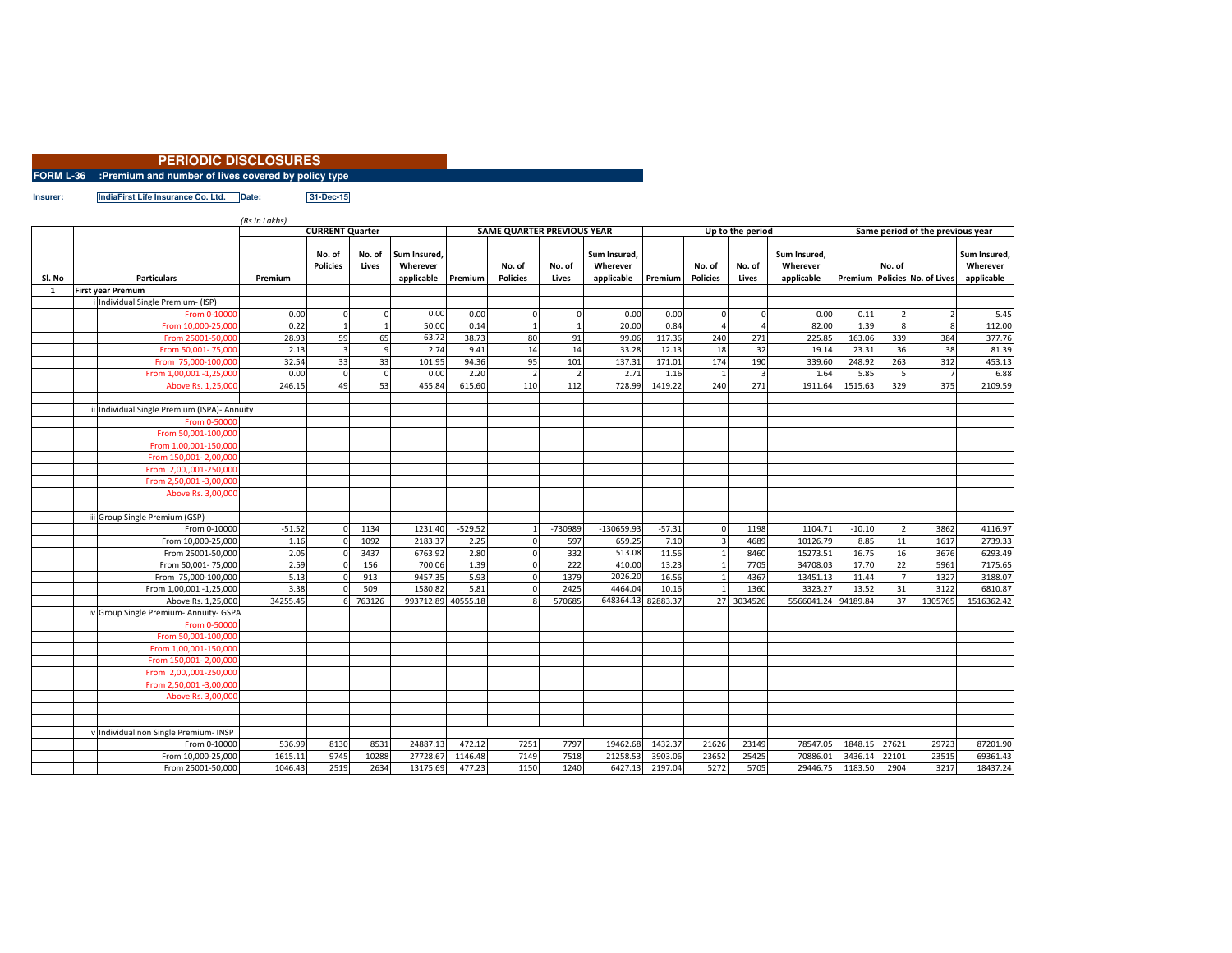| <b>PERIODIC DISCLOSURES</b>                                   |  |
|---------------------------------------------------------------|--|
| FORM L-36 :Premium and number of lives covered by policy type |  |
|                                                               |  |

**Insurer: IndiaFirst Life Insurance Co. Ltd. Date: 31-Dec-15**

*(Rs in Lakhs)*

|                        |  |                                                | (Rs in Lakns)<br>Up to the period |                           |                 |                                                |           |                                   |                 |                                        |          |                           |                 |                                        |          |        |                               |                                        |
|------------------------|--|------------------------------------------------|-----------------------------------|---------------------------|-----------------|------------------------------------------------|-----------|-----------------------------------|-----------------|----------------------------------------|----------|---------------------------|-----------------|----------------------------------------|----------|--------|-------------------------------|----------------------------------------|
|                        |  |                                                | <b>CURRENT Quarter</b>            |                           |                 |                                                |           | <b>SAME QUARTER PREVIOUS YEAR</b> |                 |                                        |          |                           |                 | Same period of the previous year       |          |        |                               |                                        |
| Sl. No<br>$\mathbf{1}$ |  | <b>Particulars</b><br><b>First year Premum</b> | Premium                           | No. of<br><b>Policies</b> | No. of<br>Lives | Sum Insured.<br>Wherever<br>applicable Premium |           | No. of<br><b>Policies</b>         | No. of<br>Lives | Sum Insured.<br>Wherever<br>applicable | Premium  | No. of<br><b>Policies</b> | No. of<br>Lives | Sum Insured,<br>Wherever<br>applicable |          | No. of | Premium Policies No. of Lives | Sum Insured,<br>Wherever<br>applicable |
|                        |  |                                                |                                   |                           |                 |                                                |           |                                   |                 |                                        |          |                           |                 |                                        |          |        |                               |                                        |
|                        |  | Individual Single Premium- (ISP)               |                                   |                           |                 |                                                |           |                                   |                 |                                        |          |                           |                 |                                        |          |        |                               |                                        |
|                        |  | From 0-10000                                   | 0.00                              | $\Omega$                  | $\Omega$        | 0.00                                           | 0.00      |                                   | O               | 0.00                                   | 0.00     | $\Omega$                  | $\Omega$        | 0.00                                   | 0.11     |        |                               | 5.45                                   |
|                        |  | From 10,000-25,000                             | 0.22                              |                           | $\mathbf{1}$    | 50.00                                          | 0.14      |                                   |                 | 20.00                                  | 0.84     |                           |                 | 82.00                                  | 1.39     |        |                               | 112.00                                 |
|                        |  | From 25001-50,000                              | 28.93                             | 59                        | 65              | 63.72                                          | 38.73     | 80                                | 91              | 99.06                                  | 117.36   | 240                       | 271             | 225.85                                 | 163.06   | 339    | 384                           | 377.76                                 |
|                        |  | From 50,001-75,000                             | 2.13                              | 3                         | 9               | 2.74                                           | 9.41      | 14                                | 14              | 33.28                                  | 12.13    | 18                        | 32              | 19.14                                  | 23.31    | 36     | 38                            | 81.39                                  |
|                        |  | From 75,000-100,000                            | 32.54                             | 33                        | 33              | 101.95                                         | 94.36     | 95                                | 101             | 137.31                                 | 171.01   | 174                       | 190             | 339.60                                 | 248.92   | 263    | 312                           | 453.13                                 |
|                        |  | From 1,00,001 -1,25,000                        | 0.00                              | $\Omega$                  | $\mathbf 0$     | 0.00                                           | 2.20      | $\overline{2}$                    | $\overline{2}$  | 2.71                                   | 1.16     |                           |                 | 1.64                                   | 5.85     |        |                               | 6.88                                   |
|                        |  | Above Rs. 1,25,000                             | 246.15                            | 49                        | 53              | 455.84                                         | 615.60    | 110                               | 112             | 728.99                                 | 1419.22  | 240                       | 271             | 1911.64                                | 1515.63  | 329    | 375                           | 2109.59                                |
|                        |  |                                                |                                   |                           |                 |                                                |           |                                   |                 |                                        |          |                           |                 |                                        |          |        |                               |                                        |
|                        |  | Individual Single Premium (ISPA)- Annuity      |                                   |                           |                 |                                                |           |                                   |                 |                                        |          |                           |                 |                                        |          |        |                               |                                        |
|                        |  | From 0-50000                                   |                                   |                           |                 |                                                |           |                                   |                 |                                        |          |                           |                 |                                        |          |        |                               |                                        |
|                        |  | From 50,001-100,000                            |                                   |                           |                 |                                                |           |                                   |                 |                                        |          |                           |                 |                                        |          |        |                               |                                        |
|                        |  | From 1,00,001-150,000                          |                                   |                           |                 |                                                |           |                                   |                 |                                        |          |                           |                 |                                        |          |        |                               |                                        |
|                        |  | From 150,001-2,00,000                          |                                   |                           |                 |                                                |           |                                   |                 |                                        |          |                           |                 |                                        |          |        |                               |                                        |
|                        |  | From 2,00,,001-250,000                         |                                   |                           |                 |                                                |           |                                   |                 |                                        |          |                           |                 |                                        |          |        |                               |                                        |
|                        |  | From 2,50,001 -3,00,000                        |                                   |                           |                 |                                                |           |                                   |                 |                                        |          |                           |                 |                                        |          |        |                               |                                        |
|                        |  | Above Rs. 3,00,000                             |                                   |                           |                 |                                                |           |                                   |                 |                                        |          |                           |                 |                                        |          |        |                               |                                        |
|                        |  |                                                |                                   |                           |                 |                                                |           |                                   |                 |                                        |          |                           |                 |                                        |          |        |                               |                                        |
|                        |  | iii Group Single Premium (GSP)                 |                                   |                           |                 |                                                |           |                                   |                 |                                        |          |                           |                 |                                        |          |        |                               |                                        |
|                        |  | From 0-10000                                   | $-51.52$                          |                           | 1134            | 1231.40                                        | $-529.52$ |                                   | -730989         | $-130659.93$                           | $-57.31$ |                           | 1198            | 1104.71                                | $-10.10$ |        | 3862                          | 4116.97                                |
|                        |  | From 10,000-25,000                             | 1.16                              |                           | 1092            | 2183.37                                        | 2.25      |                                   | 597             | 659.25                                 | 7.10     |                           | 4689            | 10126.79                               | 8.85     | 11     | 1617                          | 2739.33                                |
|                        |  | From 25001-50,000                              | 2.05                              |                           | 3437            | 6763.92                                        | 2.80      |                                   | 332             | 513.08                                 | 11.56    |                           | 8460            | 15273.51                               | 16.75    | 16     | 3676                          | 6293.49                                |
|                        |  | From 50,001-75,000                             | 2.59                              |                           | 156             | 700.06                                         | 1.39      | $\Omega$                          | 222             | 410.00                                 | 13.23    |                           | 7705            | 34708.03                               | 17.70    | 22     | 5961                          | 7175.65                                |
|                        |  | From 75,000-100,000                            | 5.13                              |                           | 913             | 9457.35                                        | 5.93      | $\Omega$                          | 1379            | 2026.20                                | 16.56    |                           | 4367            | 13451.13                               | 11.44    |        | 1327                          | 3188.07                                |
|                        |  | From 1,00,001 -1,25,000                        | 3.38                              |                           | 509             | 1580.82                                        | 5.81      |                                   | 2425            | 4464.04                                | 10.16    |                           | 1360            | 3323.27                                | 13.52    | 31     | 3122                          | 6810.87                                |
|                        |  | Above Rs. 1,25,000                             | 34255.45                          |                           | 763126          | 993712.89                                      | 40555.18  |                                   | 570685          | 648364.13 82883.37                     |          |                           | 27 3034526      | 5566041.24                             | 94189.84 | 37     | 1305765                       | 1516362.42                             |
|                        |  | iv Group Single Premium- Annuity- GSPA         |                                   |                           |                 |                                                |           |                                   |                 |                                        |          |                           |                 |                                        |          |        |                               |                                        |
|                        |  | From 0-50000                                   |                                   |                           |                 |                                                |           |                                   |                 |                                        |          |                           |                 |                                        |          |        |                               |                                        |
|                        |  | From 50,001-100,000                            |                                   |                           |                 |                                                |           |                                   |                 |                                        |          |                           |                 |                                        |          |        |                               |                                        |
|                        |  | From 1,00,001-150,000                          |                                   |                           |                 |                                                |           |                                   |                 |                                        |          |                           |                 |                                        |          |        |                               |                                        |
|                        |  | From 150,001-2,00,000                          |                                   |                           |                 |                                                |           |                                   |                 |                                        |          |                           |                 |                                        |          |        |                               |                                        |
|                        |  | From 2,00,,001-250,000                         |                                   |                           |                 |                                                |           |                                   |                 |                                        |          |                           |                 |                                        |          |        |                               |                                        |
|                        |  | From 2,50,001 -3,00,000                        |                                   |                           |                 |                                                |           |                                   |                 |                                        |          |                           |                 |                                        |          |        |                               |                                        |
|                        |  | Above Rs. 3,00,000                             |                                   |                           |                 |                                                |           |                                   |                 |                                        |          |                           |                 |                                        |          |        |                               |                                        |
|                        |  |                                                |                                   |                           |                 |                                                |           |                                   |                 |                                        |          |                           |                 |                                        |          |        |                               |                                        |
|                        |  |                                                |                                   |                           |                 |                                                |           |                                   |                 |                                        |          |                           |                 |                                        |          |        |                               |                                        |
|                        |  | Individual non Single Premium- INSP            |                                   |                           |                 |                                                |           |                                   |                 |                                        |          |                           |                 |                                        |          |        |                               |                                        |
|                        |  | From 0-10000                                   | 536.99                            | 8130                      | 8531            | 24887.13                                       | 472.12    | 7251                              | 7797            | 19462.68                               | 1432.37  | 21626                     | 23149           | 78547.05                               | 1848.1   | 27621  | 29723                         | 87201.90                               |
|                        |  | From 10,000-25,000                             | 1615.11                           | 9745                      | 10288           | 27728.67                                       | 1146.48   | 7149                              | 7518            | 21258.53                               | 3903.06  | 23652                     | 25425           | 70886.01                               | 3436.1   | 22101  | 23515                         | 69361.43                               |
|                        |  | From 25001-50,000                              | 1046.43                           | 2519                      | 2634            | 13175.69                                       | 477.23    | 1150                              | 1240            | 6427.13                                | 2197.04  | 5272                      | 5705            | 29446.75                               | 1183.50  | 2904   | 3217                          | 18437.24                               |
|                        |  |                                                |                                   |                           |                 |                                                |           |                                   |                 |                                        |          |                           |                 |                                        |          |        |                               |                                        |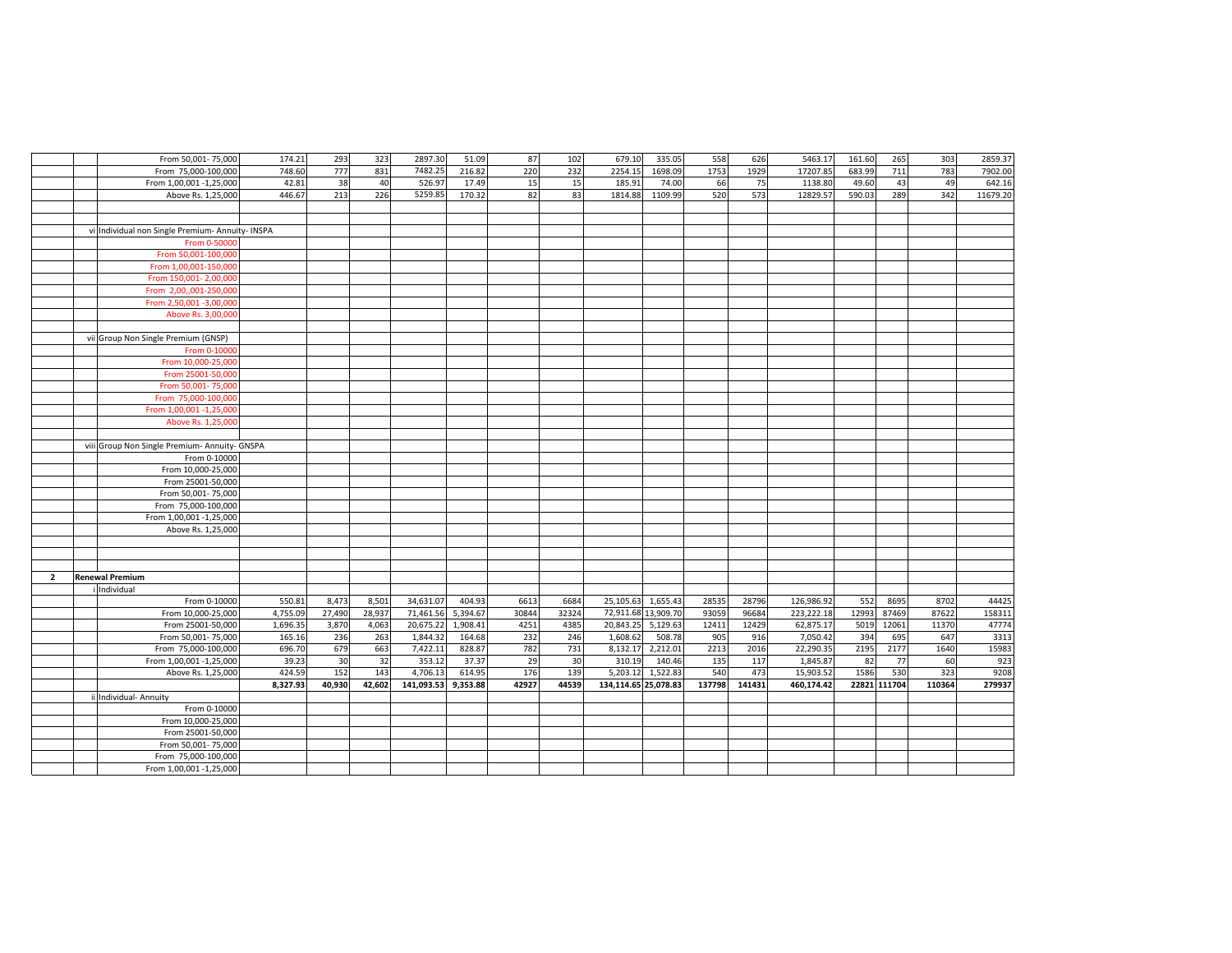|                | From 50,001-75,000                               | 174.21   | 293    | 323    | 2897.30    | 51.09    | 87    | 102   | 679.10               | 335.05              | 558    | 626    | 5463.17    | 161.60 | 265          | 303    | 2859.37  |
|----------------|--------------------------------------------------|----------|--------|--------|------------|----------|-------|-------|----------------------|---------------------|--------|--------|------------|--------|--------------|--------|----------|
|                | From 75,000-100,000                              | 748.60   | 777    | 831    | 7482.25    | 216.82   | 220   | 232   | 2254.15              | 1698.09             | 1753   | 1929   | 17207.85   | 683.99 | 711          | 783    | 7902.00  |
|                | From 1,00,001 -1,25,000                          | 42.81    | 38     | 40     | 526.97     | 17.49    | 15    | 15    | 185.91               | 74.00               | 66     | 75     | 1138.80    | 49.60  | 43           | 49     | 642.16   |
|                | Above Rs. 1,25,000                               | 446.67   | 213    | 226    | 5259.85    | 170.32   | 82    | 83    | 1814.88              | 1109.99             | 520    | 573    | 12829.57   | 590.03 | 289          | 342    | 11679.20 |
|                |                                                  |          |        |        |            |          |       |       |                      |                     |        |        |            |        |              |        |          |
|                |                                                  |          |        |        |            |          |       |       |                      |                     |        |        |            |        |              |        |          |
|                | vi Individual non Single Premium- Annuity- INSPA |          |        |        |            |          |       |       |                      |                     |        |        |            |        |              |        |          |
|                | From 0-50000                                     |          |        |        |            |          |       |       |                      |                     |        |        |            |        |              |        |          |
|                | From 50,001-100,000                              |          |        |        |            |          |       |       |                      |                     |        |        |            |        |              |        |          |
|                | From 1,00,001-150,000                            |          |        |        |            |          |       |       |                      |                     |        |        |            |        |              |        |          |
|                | From 150,001-2,00,000                            |          |        |        |            |          |       |       |                      |                     |        |        |            |        |              |        |          |
|                | From 2,00,,001-250,000                           |          |        |        |            |          |       |       |                      |                     |        |        |            |        |              |        |          |
|                | From 2,50,001 -3,00,000                          |          |        |        |            |          |       |       |                      |                     |        |        |            |        |              |        |          |
|                | Above Rs. 3,00,000                               |          |        |        |            |          |       |       |                      |                     |        |        |            |        |              |        |          |
|                |                                                  |          |        |        |            |          |       |       |                      |                     |        |        |            |        |              |        |          |
|                | vii Group Non Single Premium (GNSP)              |          |        |        |            |          |       |       |                      |                     |        |        |            |        |              |        |          |
|                | From 0-10000                                     |          |        |        |            |          |       |       |                      |                     |        |        |            |        |              |        |          |
|                | From 10,000-25,000                               |          |        |        |            |          |       |       |                      |                     |        |        |            |        |              |        |          |
|                | From 25001-50,000                                |          |        |        |            |          |       |       |                      |                     |        |        |            |        |              |        |          |
|                | From 50,001-75,000                               |          |        |        |            |          |       |       |                      |                     |        |        |            |        |              |        |          |
|                | From 75,000-100,000                              |          |        |        |            |          |       |       |                      |                     |        |        |            |        |              |        |          |
|                | From 1,00,001 -1,25,000                          |          |        |        |            |          |       |       |                      |                     |        |        |            |        |              |        |          |
|                | Above Rs. 1,25,000                               |          |        |        |            |          |       |       |                      |                     |        |        |            |        |              |        |          |
|                |                                                  |          |        |        |            |          |       |       |                      |                     |        |        |            |        |              |        |          |
|                | viii Group Non Single Premium- Annuity- GNSPA    |          |        |        |            |          |       |       |                      |                     |        |        |            |        |              |        |          |
|                | From 0-10000                                     |          |        |        |            |          |       |       |                      |                     |        |        |            |        |              |        |          |
|                | From 10,000-25,000                               |          |        |        |            |          |       |       |                      |                     |        |        |            |        |              |        |          |
|                | From 25001-50,000                                |          |        |        |            |          |       |       |                      |                     |        |        |            |        |              |        |          |
|                | From 50,001-75,000                               |          |        |        |            |          |       |       |                      |                     |        |        |            |        |              |        |          |
|                | From 75,000-100,000                              |          |        |        |            |          |       |       |                      |                     |        |        |            |        |              |        |          |
|                | From 1,00,001 -1,25,000                          |          |        |        |            |          |       |       |                      |                     |        |        |            |        |              |        |          |
|                | Above Rs. 1,25,000                               |          |        |        |            |          |       |       |                      |                     |        |        |            |        |              |        |          |
|                |                                                  |          |        |        |            |          |       |       |                      |                     |        |        |            |        |              |        |          |
|                |                                                  |          |        |        |            |          |       |       |                      |                     |        |        |            |        |              |        |          |
|                |                                                  |          |        |        |            |          |       |       |                      |                     |        |        |            |        |              |        |          |
| $\overline{2}$ | <b>Renewal Premium</b>                           |          |        |        |            |          |       |       |                      |                     |        |        |            |        |              |        |          |
|                | Individual                                       |          |        |        |            |          |       |       |                      |                     |        |        |            |        |              |        |          |
|                | From 0-10000                                     | 550.81   | 8,473  | 8,501  | 34,631.07  | 404.93   | 6613  | 6684  | 25,105.63            | 1,655.43            | 28535  | 28796  | 126,986.92 | 552    | 8695         | 8702   | 44425    |
|                | From 10,000-25,000                               | 4,755.09 | 27,490 | 28,937 | 71,461.56  | 5,394.67 | 30844 | 32324 |                      | 72,911.68 13,909.70 | 93059  | 96684  | 223,222.18 | 12993  | 87469        | 87622  | 158311   |
|                | From 25001-50,000                                | 1,696.35 | 3,870  | 4,063  | 20,675.22  | 1,908.41 | 4251  | 4385  | 20,843.25            | 5,129.63            | 12411  | 12429  | 62,875.17  | 5019   | 12061        | 11370  | 47774    |
|                | From 50,001-75,000                               | 165.16   | 236    | 263    | 1,844.32   | 164.68   | 232   | 246   | 1,608.62             | 508.78              | 905    | 916    | 7,050.42   | 394    | 695          | 647    | 3313     |
|                | From 75,000-100,000                              | 696.70   | 679    | 663    | 7,422.11   | 828.87   | 782   | 731   | 8,132.17             | 2,212.01            | 2213   | 2016   | 22,290.35  | 2195   | 2177         | 1640   | 15983    |
|                | From 1,00,001 -1,25,000                          | 39.23    | 30     | 32     | 353.12     | 37.37    | 29    | 30    | 310.19               | 140.46              | 135    | 117    | 1,845.87   | 82     | 77           | 60     | 923      |
|                | Above Rs. 1,25,000                               | 424.59   | 152    | 143    | 4,706.13   | 614.95   | 176   | 139   | 5,203.12             | 1,522.83            | 540    | 473    | 15,903.52  | 1586   | 530          | 323    | 9208     |
|                |                                                  | 8,327.93 | 40,930 | 42,602 | 141,093.53 | 9,353.88 | 42927 | 44539 | 134,114.65 25,078.83 |                     | 137798 | 141431 | 460,174.42 |        | 22821 111704 | 110364 | 279937   |
|                | Individual- Annuity                              |          |        |        |            |          |       |       |                      |                     |        |        |            |        |              |        |          |
|                | From 0-10000                                     |          |        |        |            |          |       |       |                      |                     |        |        |            |        |              |        |          |
|                | From 10,000-25,000                               |          |        |        |            |          |       |       |                      |                     |        |        |            |        |              |        |          |
|                | From 25001-50,000                                |          |        |        |            |          |       |       |                      |                     |        |        |            |        |              |        |          |
|                | From 50,001-75,000                               |          |        |        |            |          |       |       |                      |                     |        |        |            |        |              |        |          |
|                | From 75,000-100,000                              |          |        |        |            |          |       |       |                      |                     |        |        |            |        |              |        |          |
|                | From 1,00,001 -1,25,000                          |          |        |        |            |          |       |       |                      |                     |        |        |            |        |              |        |          |
|                |                                                  |          |        |        |            |          |       |       |                      |                     |        |        |            |        |              |        |          |